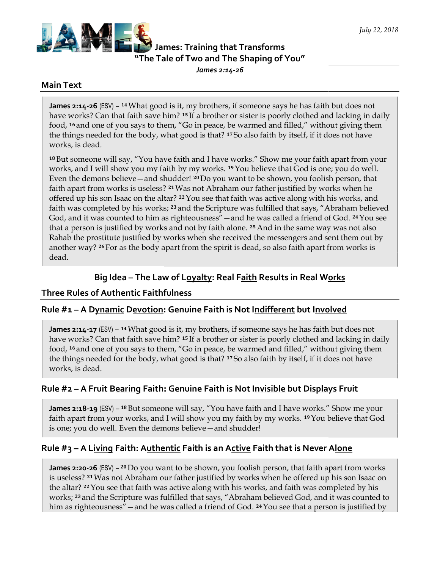

# James: Training that Transforms James: Training that Transforms<br>"The Tale of Two and The Shaping of You"

James 2:14-26

### Main Text

James 2:14-26 (ESV) – <sup>14</sup> What good is it, my brothers, if someone says he has faith but does not<br>have works? Can that faith save him? <sup>15</sup> If a brother or sister is poorly clothed and lacking in daily have works? Can that faith save him? <sup>15</sup> If a brother or sister is poorly clothed and lacking in daily food, 16 and one of you says to them, "Go in peace, be warmed and filled," without giving them food, <sup>16</sup> and one of you says to them, "Go in peace, be warmed and filled," without giving the<br>the things needed for the body, what good is that? <sup>17</sup>So also faith by itself, if it does not have works, is dead.

<sup>18</sup>But someone will say, "You have faith and I have works." Show me your faith apart from your <sup>18</sup> But someone will say, "You have faith and I have works." Show me your faith apart from you<br>works, and I will show you my faith by my works. <sup>19</sup> You believe that God is one; you do well. Even the demons believe—and shudder! <sup>20</sup> Do you want to be shown, you foolish person, that faith apart from works is useless? <sup>21</sup>Was not Abraham our father justified by works when he offered up his son Isaac on the altar? <sup>22</sup> You see that faith was active along with his works, and faith was completed by his works; <sup>23</sup> and the Scripture was fulfilled that says, "Abraham believed God, and it was counted to him as righteousness" —and he was called a friend of God.  $^{\circ}$ that a person is justified by works and not by faith alone. <sup>25</sup> And in the same way was not also Rahab the prostitute justified by works when she received the messengers and sent them out by Rahab the prostitute justified by works when she received the messengers and sent them out b<br>another way? <sup>26</sup> For as the body apart from the spirit is dead, so also faith apart from works is dead. f a brother or sister is poorly clothed and lacking in daily<br>in peace, be warmed and filled," without giving them<br>d is that? 17So also faith by itself, if it does not have<br>and I have works." Show me your faith apart from

# Big Idea – The Law of Loyalty: Real Faith Results in Real Works

### Three Rules of Authentic Faithfulness

# Big Idea – The Law of L<u>oyalty</u>: Real F<u>aith</u> Results in Real W<u>orks</u><br>Three Rules of Authentic Faithfulness<br>Rule #1 – A D<u>ynamic Devotion</u>: Genuine Faith is Not I<u>ndifferent</u> but I<u>nvolved</u>

James 2:14-17 (ESV) – 14 What good is it, my brothers, if someone says he has faith but does not James 2:14-17 (ESV) – <sup>14</sup> What good is it, my brothers, if someone says he has faith but does not<br>have works? Can that faith save him? <sup>15</sup> If a brother or sister is poorly clothed and lacking in daily food, 16 and one of you says to them, "Go in peace, be warmed and filled," without giving them food, <sup>16</sup> and one of you says to them, "Go in peace, be warmed and filled," without <sub>{</sub><br>the things needed for the body, what good is that? <sup>17</sup> So also faith by itself, if it does works, is dead. and lacking in c<br>:hout giving the<br>: does not have

## Rule #2 – A Fruit Bearing Faith: Genuine Faith is Not Invisible but Displays Fruit

James 2:18-19 (ESV) – <sup>18</sup> But someone will say, "You have faith and I have works." Show me your James 2:18-19 (ESV) – <sup>18</sup> But someone will say, "You have faith and I have works." Show me your<br>faith apart from your works, and I will show you my faith by my works. <sup>19</sup> You believe that God is one; you do well. Even the demons believe — and shudder!

## Rule #3 – A L<u>iving</u> Faith: A<u>uthentic</u> Faith is an A<u>ctive</u> Faith that is Never A<u>lone</u>

**James 2:20-26** (ESV) – <sup>20</sup> Do you want to be shown, you foolish person, that faith apart from works is useless? 21 Was not Abraham our father justified by works when he offered up his son Isaac on the altar? 22 You see that faith was active along with his works, and faith was completed by his works; 23 and the Scripture was fulfilled that says, "Abraham believed God, and it was counted to **James 2:20-26** (ESV) – <sup>20</sup> Do you want to be shown, you foolish person, that faith apart from works is useless? <sup>21</sup> Was not Abraham our father justified by works when he offered up his son Isaac on the altar? <sup>22</sup> You